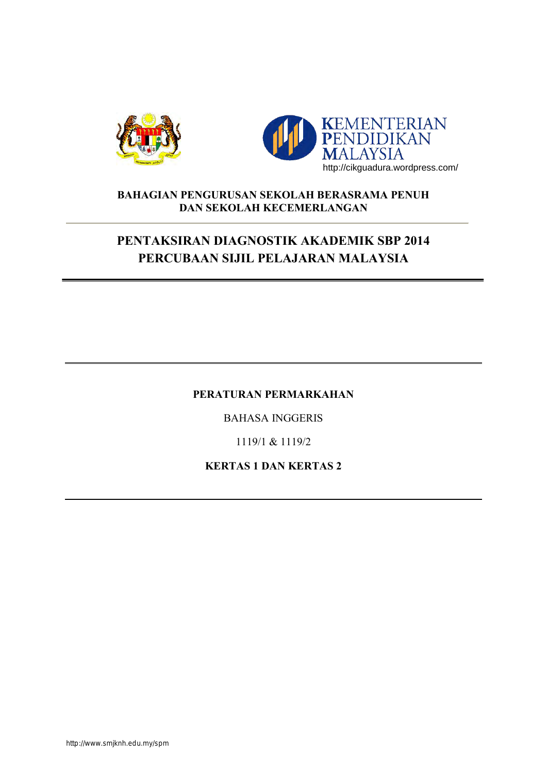



### **BAHAGIAN PENGURUSAN SEKOLAH BERASRAMA PENUH DAN SEKOLAH KECEMERLANGAN**

# **PENTAKSIRAN DIAGNOSTIK AKADEMIK SBP 2014 PERCUBAAN SIJIL PELAJARAN MALAYSIA**

#### **PERATURAN PERMARKAHAN**

BAHASA INGGERIS

1119/1 & 1119/2

**KERTAS 1 DAN KERTAS 2**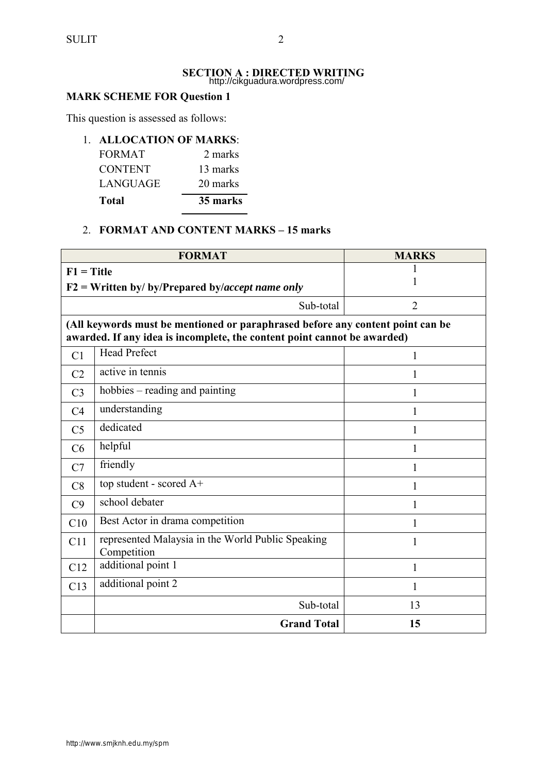#### **SECTION A : DIRECTED WRITING**  http://cikguadura.wordpress.com/

## **MARK SCHEME FOR Question 1**

This question is assessed as follows:

#### 1. **ALLOCATION OF MARKS**:

| Total          | 35 marks |
|----------------|----------|
| LANGUAGE       | 20 marks |
| <b>CONTENT</b> | 13 marks |
| <b>FORMAT</b>  | 2 marks  |

#### 2. **FORMAT AND CONTENT MARKS – 15 marks**

|                                                                                                                                                            | <b>FORMAT</b>                                                    | <b>MARKS</b> |  |
|------------------------------------------------------------------------------------------------------------------------------------------------------------|------------------------------------------------------------------|--------------|--|
| $F1 = Title$<br>$F2 = W$ ritten by/ by/Prepared by/accept name only                                                                                        |                                                                  | 1            |  |
| $\overline{2}$<br>Sub-total                                                                                                                                |                                                                  |              |  |
| (All keywords must be mentioned or paraphrased before any content point can be<br>awarded. If any idea is incomplete, the content point cannot be awarded) |                                                                  |              |  |
| C <sub>1</sub>                                                                                                                                             | <b>Head Prefect</b>                                              | 1            |  |
| C <sub>2</sub>                                                                                                                                             | active in tennis                                                 | 1            |  |
| C <sub>3</sub>                                                                                                                                             | hobbies – reading and painting                                   |              |  |
| C <sub>4</sub>                                                                                                                                             | understanding                                                    | 1            |  |
| C <sub>5</sub>                                                                                                                                             | dedicated                                                        | 1            |  |
| C6                                                                                                                                                         | helpful                                                          |              |  |
| C7                                                                                                                                                         | friendly                                                         | 1            |  |
| C8                                                                                                                                                         | top student - scored A+                                          |              |  |
| C9                                                                                                                                                         | school debater                                                   | 1            |  |
| C10                                                                                                                                                        | Best Actor in drama competition                                  | 1            |  |
| C11                                                                                                                                                        | represented Malaysia in the World Public Speaking<br>Competition | 1            |  |
| C12                                                                                                                                                        | additional point 1                                               | 1            |  |
| C13                                                                                                                                                        | additional point 2                                               | 1            |  |
|                                                                                                                                                            | Sub-total                                                        | 13           |  |
|                                                                                                                                                            | <b>Grand Total</b>                                               | 15           |  |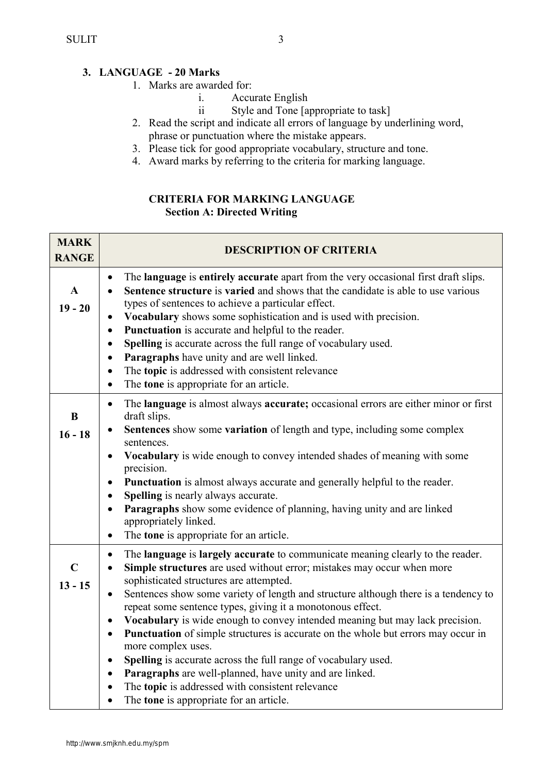## **3. LANGUAGE - 20 Marks**

- 1. Marks are awarded for:
	- i. Accurate English<br>ii Style and Tone Ja
	- Style and Tone [appropriate to task]
- 2. Read the script and indicate all errors of language by underlining word, phrase or punctuation where the mistake appears.
- 3. Please tick for good appropriate vocabulary, structure and tone.
- 4. Award marks by referring to the criteria for marking language.

#### **CRITERIA FOR MARKING LANGUAGE Section A: Directed Writing**

| <b>MARK</b><br><b>RANGE</b> | <b>DESCRIPTION OF CRITERIA</b>                                                                                                                                                                                                                                                                                                                                                                                                                                                                                                                                                                                                                                                                                                                                                                                                                                     |
|-----------------------------|--------------------------------------------------------------------------------------------------------------------------------------------------------------------------------------------------------------------------------------------------------------------------------------------------------------------------------------------------------------------------------------------------------------------------------------------------------------------------------------------------------------------------------------------------------------------------------------------------------------------------------------------------------------------------------------------------------------------------------------------------------------------------------------------------------------------------------------------------------------------|
| $\mathbf{A}$<br>$19 - 20$   | The language is entirely accurate apart from the very occasional first draft slips.<br>$\bullet$<br>Sentence structure is varied and shows that the candidate is able to use various<br>$\bullet$<br>types of sentences to achieve a particular effect.<br>Vocabulary shows some sophistication and is used with precision.<br>Punctuation is accurate and helpful to the reader.<br>$\bullet$<br>Spelling is accurate across the full range of vocabulary used.<br>$\bullet$<br>Paragraphs have unity and are well linked.<br>$\bullet$<br>The topic is addressed with consistent relevance<br>$\bullet$<br>The tone is appropriate for an article.<br>$\bullet$                                                                                                                                                                                                  |
| B<br>$16 - 18$              | The language is almost always accurate; occasional errors are either minor or first<br>$\bullet$<br>draft slips.<br>Sentences show some variation of length and type, including some complex<br>sentences.<br>Vocabulary is wide enough to convey intended shades of meaning with some<br>٠<br>precision.<br>Punctuation is almost always accurate and generally helpful to the reader.<br>Spelling is nearly always accurate.<br>$\bullet$<br>Paragraphs show some evidence of planning, having unity and are linked<br>appropriately linked.<br>The <b>tone</b> is appropriate for an article.<br>$\bullet$                                                                                                                                                                                                                                                      |
| $\mathbf C$<br>$13 - 15$    | The language is largely accurate to communicate meaning clearly to the reader.<br>$\bullet$<br>Simple structures are used without error; mistakes may occur when more<br>$\bullet$<br>sophisticated structures are attempted.<br>Sentences show some variety of length and structure although there is a tendency to<br>repeat some sentence types, giving it a monotonous effect.<br>Vocabulary is wide enough to convey intended meaning but may lack precision.<br>٠<br>Punctuation of simple structures is accurate on the whole but errors may occur in<br>$\bullet$<br>more complex uses.<br>Spelling is accurate across the full range of vocabulary used.<br>$\bullet$<br>Paragraphs are well-planned, have unity and are linked.<br>$\bullet$<br>The topic is addressed with consistent relevance<br>The tone is appropriate for an article.<br>$\bullet$ |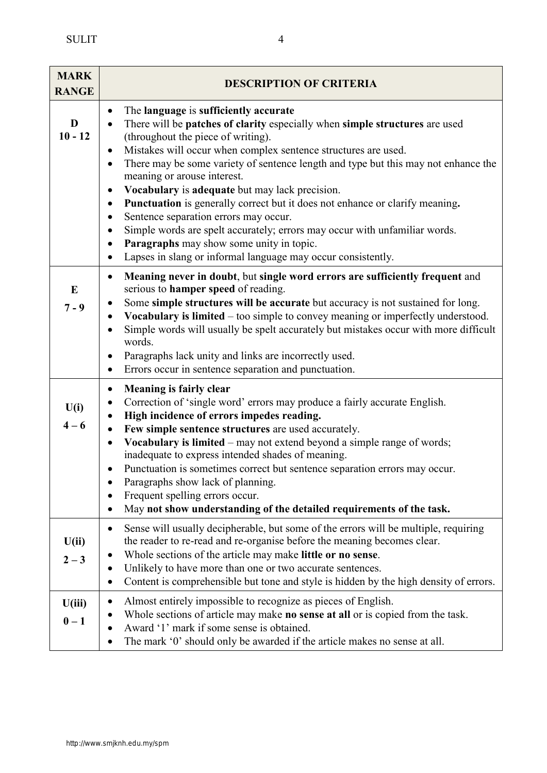| <b>MARK</b><br><b>RANGE</b> | <b>DESCRIPTION OF CRITERIA</b>                                                                                                                                                                                                                                                                                                                                                                                                                                                                                                                                                                                                                                                                                                                                                 |
|-----------------------------|--------------------------------------------------------------------------------------------------------------------------------------------------------------------------------------------------------------------------------------------------------------------------------------------------------------------------------------------------------------------------------------------------------------------------------------------------------------------------------------------------------------------------------------------------------------------------------------------------------------------------------------------------------------------------------------------------------------------------------------------------------------------------------|
| D<br>$10 - 12$              | The language is sufficiently accurate<br>$\bullet$<br>There will be patches of clarity especially when simple structures are used<br>(throughout the piece of writing).<br>Mistakes will occur when complex sentence structures are used.<br>٠<br>There may be some variety of sentence length and type but this may not enhance the<br>٠<br>meaning or arouse interest.<br>Vocabulary is adequate but may lack precision.<br>$\bullet$<br>Punctuation is generally correct but it does not enhance or clarify meaning.<br>٠<br>Sentence separation errors may occur.<br>٠<br>Simple words are spelt accurately; errors may occur with unfamiliar words.<br>٠<br>Paragraphs may show some unity in topic.<br>٠<br>Lapses in slang or informal language may occur consistently. |
| E<br>$7 - 9$                | Meaning never in doubt, but single word errors are sufficiently frequent and<br>$\bullet$<br>serious to hamper speed of reading.<br>Some simple structures will be accurate but accuracy is not sustained for long.<br>٠<br>Vocabulary is limited – too simple to convey meaning or imperfectly understood.<br>Simple words will usually be spelt accurately but mistakes occur with more difficult<br>$\bullet$<br>words.<br>Paragraphs lack unity and links are incorrectly used.<br>$\bullet$<br>Errors occur in sentence separation and punctuation.<br>٠                                                                                                                                                                                                                  |
| U(i)<br>$4 - 6$             | <b>Meaning is fairly clear</b><br>٠<br>Correction of 'single word' errors may produce a fairly accurate English.<br>High incidence of errors impedes reading.<br>Few simple sentence structures are used accurately.<br>Vocabulary is limited - may not extend beyond a simple range of words;<br>inadequate to express intended shades of meaning.<br>Punctuation is sometimes correct but sentence separation errors may occur.<br>Paragraphs show lack of planning.<br>Frequent spelling errors occur.<br>May not show understanding of the detailed requirements of the task.                                                                                                                                                                                              |
| U(ii)<br>$2 - 3$            | Sense will usually decipherable, but some of the errors will be multiple, requiring<br>٠<br>the reader to re-read and re-organise before the meaning becomes clear.<br>Whole sections of the article may make little or no sense.<br>Unlikely to have more than one or two accurate sentences.<br>Content is comprehensible but tone and style is hidden by the high density of errors.                                                                                                                                                                                                                                                                                                                                                                                        |
| U(iii)<br>$0-1$             | Almost entirely impossible to recognize as pieces of English.<br>Whole sections of article may make <b>no sense at all</b> or is copied from the task.<br>Award '1' mark if some sense is obtained.<br>The mark '0' should only be awarded if the article makes no sense at all.                                                                                                                                                                                                                                                                                                                                                                                                                                                                                               |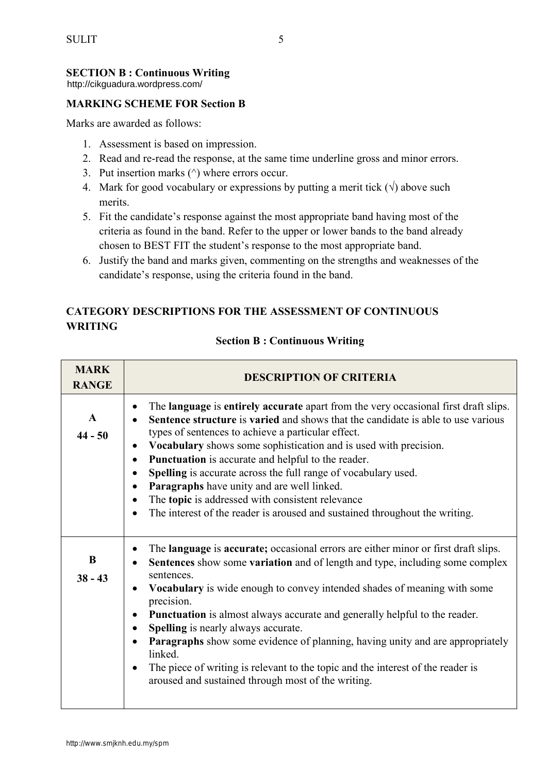## **SECTION B : Continuous Writing**

http://cikguadura.wordpress.com/

## **MARKING SCHEME FOR Section B**

Marks are awarded as follows:

- 1. Assessment is based on impression.
- 2. Read and re-read the response, at the same time underline gross and minor errors.
- 3. Put insertion marks  $(^\wedge)$  where errors occur.
- 4. Mark for good vocabulary or expressions by putting a merit tick  $(\sqrt{})$  above such merits.
- 5. Fit the candidate's response against the most appropriate band having most of the criteria as found in the band. Refer to the upper or lower bands to the band already chosen to BEST FIT the student's response to the most appropriate band.
- 6. Justify the band and marks given, commenting on the strengths and weaknesses of the candidate's response, using the criteria found in the band.

## **CATEGORY DESCRIPTIONS FOR THE ASSESSMENT OF CONTINUOUS WRITING**

| <b>MARK</b><br><b>RANGE</b> | <b>DESCRIPTION OF CRITERIA</b>                                                                                                                                                                                                                                                                                                                                                                                                                                                                                                                                                                                                                                                                                                                |
|-----------------------------|-----------------------------------------------------------------------------------------------------------------------------------------------------------------------------------------------------------------------------------------------------------------------------------------------------------------------------------------------------------------------------------------------------------------------------------------------------------------------------------------------------------------------------------------------------------------------------------------------------------------------------------------------------------------------------------------------------------------------------------------------|
| $\mathbf{A}$<br>$44 - 50$   | The language is entirely accurate apart from the very occasional first draft slips.<br>$\bullet$<br>Sentence structure is varied and shows that the candidate is able to use various<br>$\bullet$<br>types of sentences to achieve a particular effect.<br>Vocabulary shows some sophistication and is used with precision.<br>$\bullet$<br>Punctuation is accurate and helpful to the reader.<br>$\bullet$<br>Spelling is accurate across the full range of vocabulary used.<br>$\bullet$<br>Paragraphs have unity and are well linked.<br>$\bullet$<br>The topic is addressed with consistent relevance<br>$\bullet$<br>The interest of the reader is aroused and sustained throughout the writing.<br>$\bullet$                            |
| B<br>$38 - 43$              | The language is accurate; occasional errors are either minor or first draft slips.<br>$\bullet$<br>Sentences show some variation and of length and type, including some complex<br>$\bullet$<br>sentences.<br>Vocabulary is wide enough to convey intended shades of meaning with some<br>$\bullet$<br>precision.<br><b>Punctuation</b> is almost always accurate and generally helpful to the reader.<br>$\bullet$<br><b>Spelling</b> is nearly always accurate.<br>$\bullet$<br>Paragraphs show some evidence of planning, having unity and are appropriately<br>$\bullet$<br>linked.<br>The piece of writing is relevant to the topic and the interest of the reader is<br>$\bullet$<br>aroused and sustained through most of the writing. |

#### **Section B : Continuous Writing**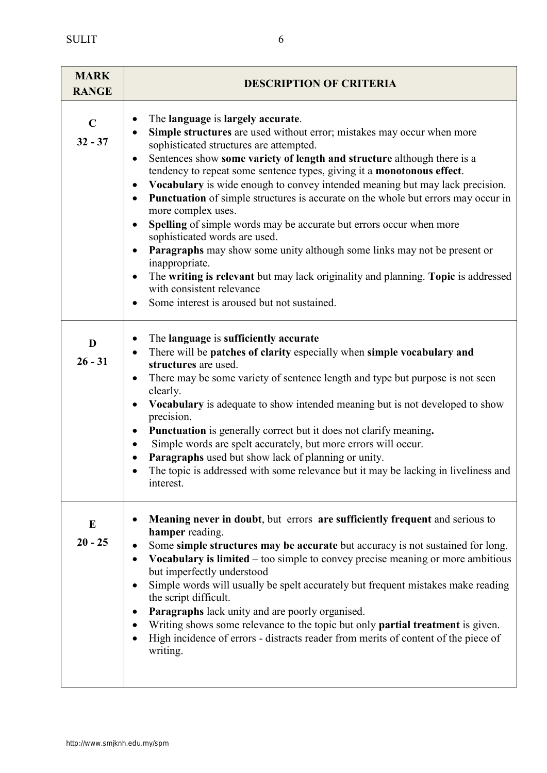**MARK RANGE DESCRIPTION OF CRITERIA C 32 - 37**  The **language** is **largely accurate**. **Simple structures** are used without error; mistakes may occur when more sophisticated structures are attempted. Sentences show **some variety of length and structure** although there is a tendency to repeat some sentence types, giving it a **monotonous effect**. **Vocabulary** is wide enough to convey intended meaning but may lack precision. **Punctuation** of simple structures is accurate on the whole but errors may occur in more complex uses. • **Spelling** of simple words may be accurate but errors occur when more sophisticated words are used. **Paragraphs** may show some unity although some links may not be present or inappropriate. The **writing is relevant** but may lack originality and planning. **Topic** is addressed with consistent relevance • Some interest is aroused but not sustained. **D 26 - 31**  The **language** is **sufficiently accurate** There will be **patches of clarity** especially when **simple vocabulary and structures** are used. • There may be some variety of sentence length and type but purpose is not seen clearly. **Vocabulary** is adequate to show intended meaning but is not developed to show precision. **Punctuation** is generally correct but it does not clarify meaning**.**  Simple words are spelt accurately, but more errors will occur. **Paragraphs** used but show lack of planning or unity. • The topic is addressed with some relevance but it may be lacking in liveliness and interest. **E 20 - 25 Meaning never in doubt**, but errors **are sufficiently frequent** and serious to **hamper** reading. Some **simple structures may be accurate** but accuracy is not sustained for long. **Vocabulary is limited** – too simple to convey precise meaning or more ambitious but imperfectly understood Simple words will usually be spelt accurately but frequent mistakes make reading the script difficult. **Paragraphs** lack unity and are poorly organised. Writing shows some relevance to the topic but only **partial treatment** is given.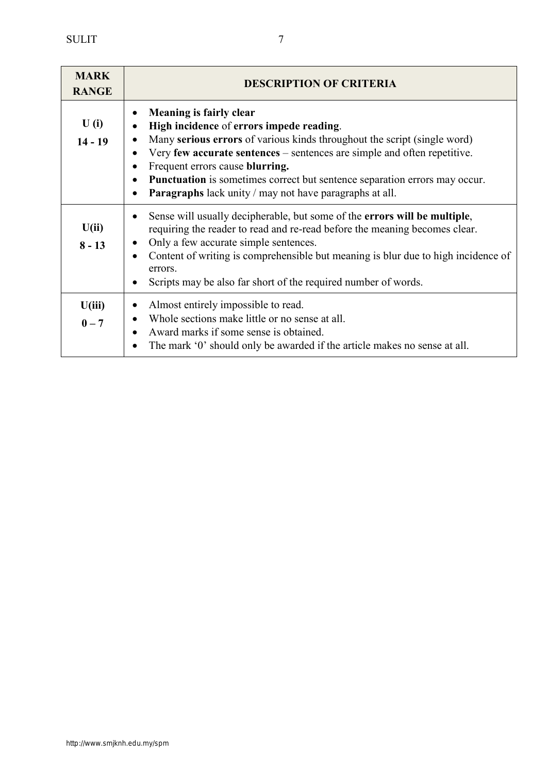| <b>MARK</b><br><b>RANGE</b> | <b>DESCRIPTION OF CRITERIA</b>                                                                                                                                                                                                                                                                                                                                                                                                     |
|-----------------------------|------------------------------------------------------------------------------------------------------------------------------------------------------------------------------------------------------------------------------------------------------------------------------------------------------------------------------------------------------------------------------------------------------------------------------------|
| U(i)<br>$14 - 19$           | <b>Meaning is fairly clear</b><br>High incidence of errors impede reading.<br>Many serious errors of various kinds throughout the script (single word)<br>Very few accurate sentences – sentences are simple and often repetitive.<br>$\bullet$<br>Frequent errors cause blurring.<br>Punctuation is sometimes correct but sentence separation errors may occur.<br><b>Paragraphs</b> lack unity / may not have paragraphs at all. |
| U(ii)<br>$8 - 13$           | Sense will usually decipherable, but some of the <b>errors will be multiple</b> ,<br>requiring the reader to read and re-read before the meaning becomes clear.<br>Only a few accurate simple sentences.<br>Content of writing is comprehensible but meaning is blur due to high incidence of<br>$\bullet$<br>errors.<br>Scripts may be also far short of the required number of words.                                            |
| U(iii)<br>$0 - 7$           | Almost entirely impossible to read.<br>Whole sections make little or no sense at all.<br>Award marks if some sense is obtained.<br>The mark '0' should only be awarded if the article makes no sense at all.<br>$\bullet$                                                                                                                                                                                                          |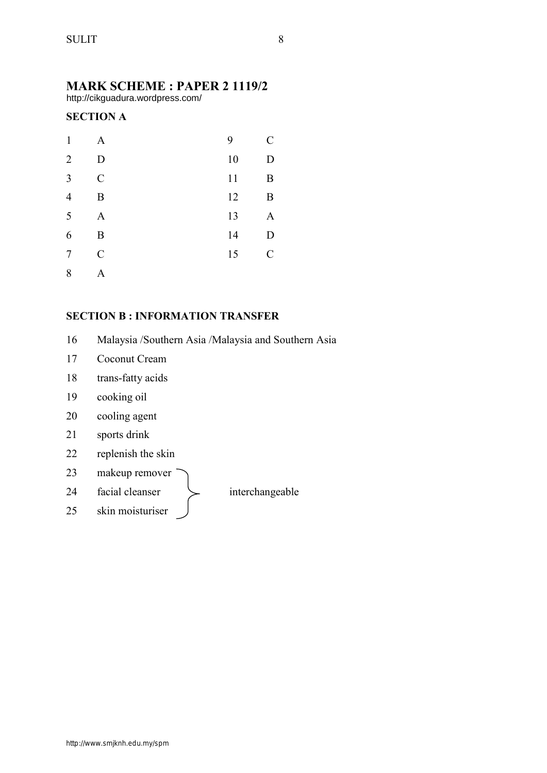## **MARK SCHEME : PAPER 2 1119/2**

http://cikguadura.wordpress.com/

## **SECTION A**

| $\mathbf{1}$   | A              | 9  | $\mathcal{C}_{0}^{0}$ |
|----------------|----------------|----|-----------------------|
| $\overline{2}$ | D              | 10 | D                     |
| 3              | $\overline{C}$ | 11 | $\boldsymbol{B}$      |
| $\overline{4}$ | B              | 12 | $\boldsymbol{B}$      |
| 5              | $\mathbf{A}$   | 13 | A                     |
| 6              | B              | 14 | D                     |
| $\overline{7}$ | $\overline{C}$ | 15 | $\mathcal{C}$         |
| 8              | A              |    |                       |

#### **SECTION B : INFORMATION TRANSFER**

- 16 Malaysia /Southern Asia /Malaysia and Southern Asia
- 17 Coconut Cream
- 18 trans-fatty acids
- 19 cooking oil
- 20 cooling agent
- 21 sports drink
- 22 replenish the skin
- 23 makeup remover
- 24 facial cleanser  $\searrow$  interchangeable

25 skin moisturiser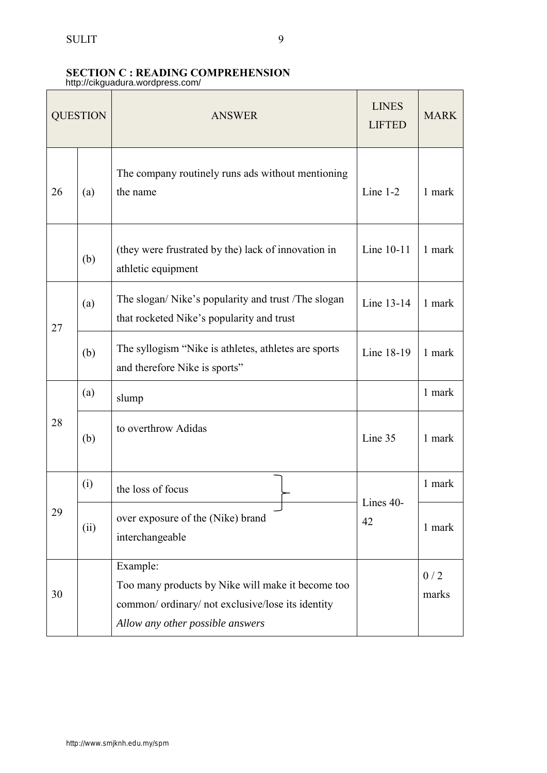## **SECTION C : READING COMPREHENSION**

http://cikguadura.wordpress.com/

| <b>QUESTION</b> |      | <b>ANSWER</b>                                                                                                                                          | <b>LINES</b><br><b>LIFTED</b> | <b>MARK</b>  |
|-----------------|------|--------------------------------------------------------------------------------------------------------------------------------------------------------|-------------------------------|--------------|
| 26              | (a)  | The company routinely runs ads without mentioning<br>the name                                                                                          | Line $1-2$                    | 1 mark       |
|                 | (b)  | (they were frustrated by the) lack of innovation in<br>athletic equipment                                                                              | Line 10-11                    | 1 mark       |
| 27              | (a)  | The slogan/Nike's popularity and trust /The slogan<br>that rocketed Nike's popularity and trust                                                        | Line 13-14                    | 1 mark       |
|                 | (b)  | The syllogism "Nike is athletes, athletes are sports<br>and therefore Nike is sports"                                                                  | Line 18-19                    | 1 mark       |
|                 | (a)  | slump                                                                                                                                                  |                               | 1 mark       |
| 28              | (b)  | to overthrow Adidas                                                                                                                                    | Line 35                       | 1 mark       |
|                 | (i)  | the loss of focus                                                                                                                                      |                               | 1 mark       |
| 29              | (ii) | over exposure of the (Nike) brand<br>interchangeable                                                                                                   | Lines 40-<br>42               | 1 mark       |
| 30              |      | Example:<br>Too many products by Nike will make it become too<br>common/ ordinary/ not exclusive/lose its identity<br>Allow any other possible answers |                               | 0/2<br>marks |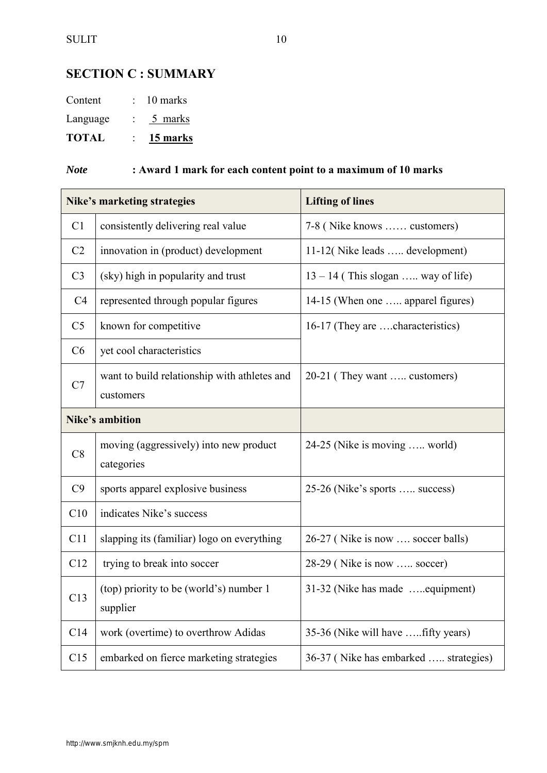## **SECTION C : SUMMARY**

| Content<br>Language | 10 marks<br>5 marks |
|---------------------|---------------------|
|                     |                     |

## *Note* **: Award 1 mark for each content point to a maximum of 10 marks**

|                | Nike's marketing strategies                               | <b>Lifting of lines</b>               |
|----------------|-----------------------------------------------------------|---------------------------------------|
| C1             | consistently delivering real value                        | 7-8 (Nike knows  customers)           |
| C <sub>2</sub> | innovation in (product) development                       | 11-12(Nike leads  development)        |
| C <sub>3</sub> | (sky) high in popularity and trust                        | $13 - 14$ (This slogan  way of life)  |
| C <sub>4</sub> | represented through popular figures                       | 14-15 (When one  apparel figures)     |
| C <sub>5</sub> | known for competitive                                     | 16-17 (They are characteristics)      |
| C6             | yet cool characteristics                                  |                                       |
| C7             | want to build relationship with athletes and<br>customers | 20-21 (They want  customers)          |
|                | <b>Nike's ambition</b>                                    |                                       |
| C8             | moving (aggressively) into new product<br>categories      | 24-25 (Nike is moving  world)         |
| C9             | sports apparel explosive business                         | 25-26 (Nike's sports  success)        |
| C10            | indicates Nike's success                                  |                                       |
| C11            | slapping its (familiar) logo on everything                | 26-27 (Nike is now  soccer balls)     |
| C12            | trying to break into soccer                               | 28-29 (Nike is now  soccer)           |
| C13            | (top) priority to be (world's) number 1<br>supplier       | 31-32 (Nike has made  equipment)      |
| C14            | work (overtime) to overthrow Adidas                       | 35-36 (Nike will have  fifty years)   |
| C15            | embarked on fierce marketing strategies                   | 36-37 (Nike has embarked  strategies) |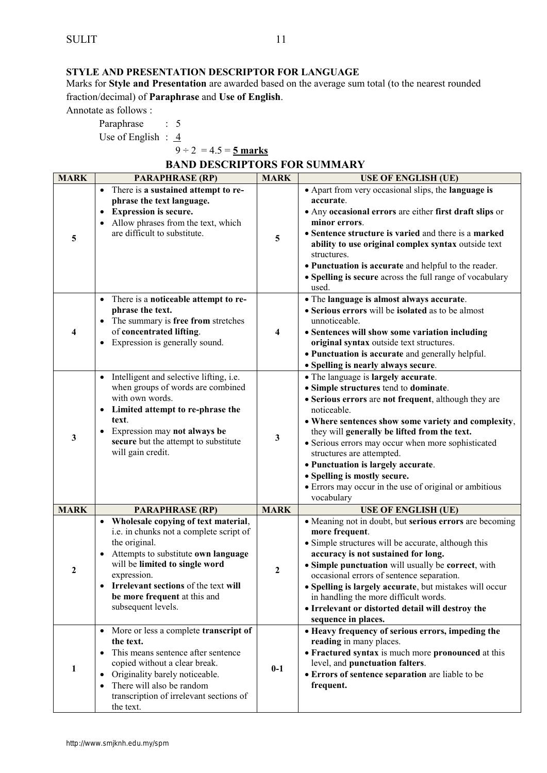#### **STYLE AND PRESENTATION DESCRIPTOR FOR LANGUAGE**

Marks for **Style and Presentation** are awarded based on the average sum total (to the nearest rounded fraction/decimal) of **Paraphrase** and **Use of English**.

Annotate as follows :

Paraphrase : 5

Use of English :  $4$ 

 $9 \div 2 = 4.5 = 5$  marks

**BAND DESCRIPTORS FOR SUMMARY** 

| <b>MARK</b>  | <b>PARAPHRASE (RP)</b>                                                                                                                                                                                                                                                                                 | <b>MARK</b> | <b>USE OF ENGLISH (UE)</b>                                                                                                                                                                                                                                                                                                                                                                                                                                                                  |
|--------------|--------------------------------------------------------------------------------------------------------------------------------------------------------------------------------------------------------------------------------------------------------------------------------------------------------|-------------|---------------------------------------------------------------------------------------------------------------------------------------------------------------------------------------------------------------------------------------------------------------------------------------------------------------------------------------------------------------------------------------------------------------------------------------------------------------------------------------------|
| 5            | • There is a sustained attempt to re-<br>phrase the text language.<br><b>Expression is secure.</b><br>$\bullet$<br>• Allow phrases from the text, which<br>are difficult to substitute.                                                                                                                | 5           | • Apart from very occasional slips, the language is<br>accurate.<br>• Any occasional errors are either first draft slips or<br>minor errors.<br>• Sentence structure is varied and there is a marked<br>ability to use original complex syntax outside text<br>structures.<br>• Punctuation is accurate and helpful to the reader.<br>• Spelling is secure across the full range of vocabulary<br>used.                                                                                     |
| 4            | • There is a noticeable attempt to re-<br>phrase the text.<br>• The summary is free from stretches<br>of concentrated lifting.<br>Expression is generally sound.<br>$\bullet$                                                                                                                          | 4           | • The language is almost always accurate.<br>• Serious errors will be isolated as to be almost<br>unnoticeable.<br>• Sentences will show some variation including<br>original syntax outside text structures.<br>• Punctuation is accurate and generally helpful.<br>· Spelling is nearly always secure.                                                                                                                                                                                    |
| $\mathbf{3}$ | • Intelligent and selective lifting, i.e.<br>when groups of words are combined<br>with own words.<br>• Limited attempt to re-phrase the<br>text.<br>Expression may not always be<br>$\bullet$<br>secure but the attempt to substitute<br>will gain credit.                                             | 3           | • The language is largely accurate.<br>• Simple structures tend to dominate.<br>• Serious errors are not frequent, although they are<br>noticeable.<br>• Where sentences show some variety and complexity,<br>they will generally be lifted from the text.<br>• Serious errors may occur when more sophisticated<br>structures are attempted.<br>• Punctuation is largely accurate.<br>• Spelling is mostly secure.<br>• Errors may occur in the use of original or ambitious<br>vocabulary |
| <b>MARK</b>  | <b>PARAPHRASE (RP)</b>                                                                                                                                                                                                                                                                                 | <b>MARK</b> | <b>USE OF ENGLISH (UE)</b>                                                                                                                                                                                                                                                                                                                                                                                                                                                                  |
| 2            | • Wholesale copying of text material,<br>i.e. in chunks not a complete script of<br>the original.<br>• Attempts to substitute own language<br>will be limited to single word<br>expression.<br>Irrelevant sections of the text will<br>$\bullet$<br>be more frequent at this and<br>subsequent levels. | 2           | • Meaning not in doubt, but serious errors are becoming<br>more frequent.<br>• Simple structures will be accurate, although this<br>accuracy is not sustained for long.<br>• Simple punctuation will usually be correct, with<br>occasional errors of sentence separation.<br>• Spelling is largely accurate, but mistakes will occur<br>in handling the more difficult words.<br>• Irrelevant or distorted detail will destroy the<br>sequence in places.                                  |
| 1            | • More or less a complete transcript of<br>the text.<br>• This means sentence after sentence<br>copied without a clear break.<br>Originality barely noticeable.<br>$\bullet$<br>There will also be random<br>$\bullet$<br>transcription of irrelevant sections of<br>the text.                         | $0-1$       | • Heavy frequency of serious errors, impeding the<br>reading in many places.<br>• Fractured syntax is much more pronounced at this<br>level, and punctuation falters.<br>• Errors of sentence separation are liable to be<br>frequent.                                                                                                                                                                                                                                                      |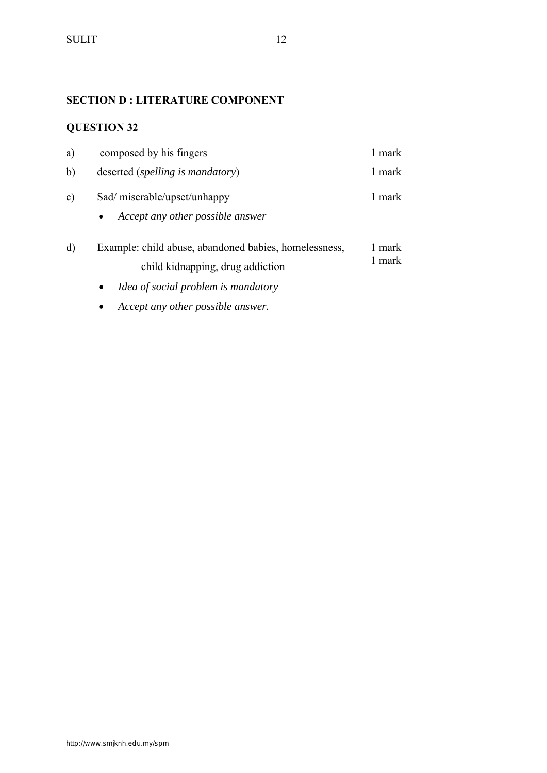## **SECTION D : LITERATURE COMPONENT**

## **QUESTION 32**

| a)            | composed by his fingers                                                                                                                       | 1 mark           |
|---------------|-----------------------------------------------------------------------------------------------------------------------------------------------|------------------|
| b)            | deserted ( <i>spelling is mandatory</i> )                                                                                                     | 1 mark           |
| $\mathbf{c})$ | Sad/miserable/upset/unhappy<br>Accept any other possible answer<br>$\bullet$                                                                  | 1 mark           |
| d)            | Example: child abuse, abandoned babies, homelessness,<br>child kidnapping, drug addiction<br>Idea of social problem is mandatory<br>$\bullet$ | 1 mark<br>1 mark |

*Accept any other possible answer.*